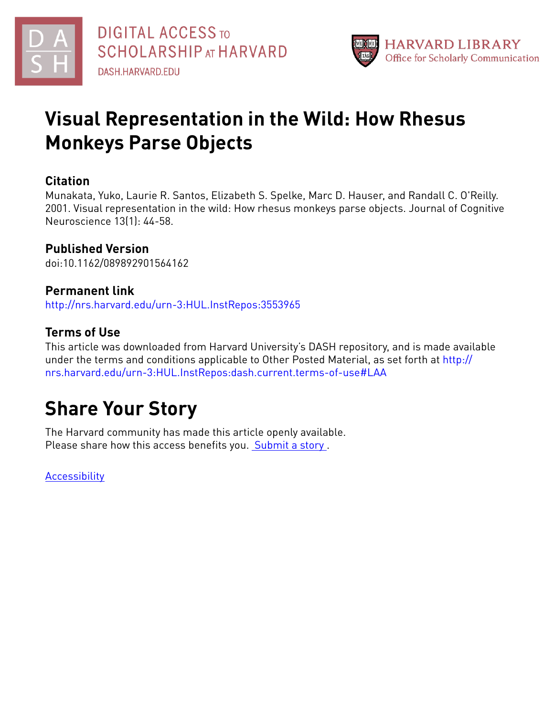



# **Visual Representation in the Wild: How Rhesus Monkeys Parse Objects**

# **Citation**

Munakata, Yuko, Laurie R. Santos, Elizabeth S. Spelke, Marc D. Hauser, and Randall C. O'Reilly. 2001. Visual representation in the wild: How rhesus monkeys parse objects. Journal of Cognitive Neuroscience 13(1): 44-58.

# **Published Version**

doi:10.1162/089892901564162

# **Permanent link**

<http://nrs.harvard.edu/urn-3:HUL.InstRepos:3553965>

# **Terms of Use**

This article was downloaded from Harvard University's DASH repository, and is made available under the terms and conditions applicable to Other Posted Material, as set forth at [http://](http://nrs.harvard.edu/urn-3:HUL.InstRepos:dash.current.terms-of-use#LAA) [nrs.harvard.edu/urn-3:HUL.InstRepos:dash.current.terms-of-use#LAA](http://nrs.harvard.edu/urn-3:HUL.InstRepos:dash.current.terms-of-use#LAA)

# **Share Your Story**

The Harvard community has made this article openly available. Please share how this access benefits you. [Submit](http://osc.hul.harvard.edu/dash/open-access-feedback?handle=&title=Visual%20Representation%20in%20the%20Wild:%20How%20Rhesus%20Monkeys%20Parse%20Objects&community=1/1&collection=1/2&owningCollection1/2&harvardAuthors=518bd33b3fd693adbedeeaa7619f04d1&departmentPsychology) a story .

**[Accessibility](https://dash.harvard.edu/pages/accessibility)**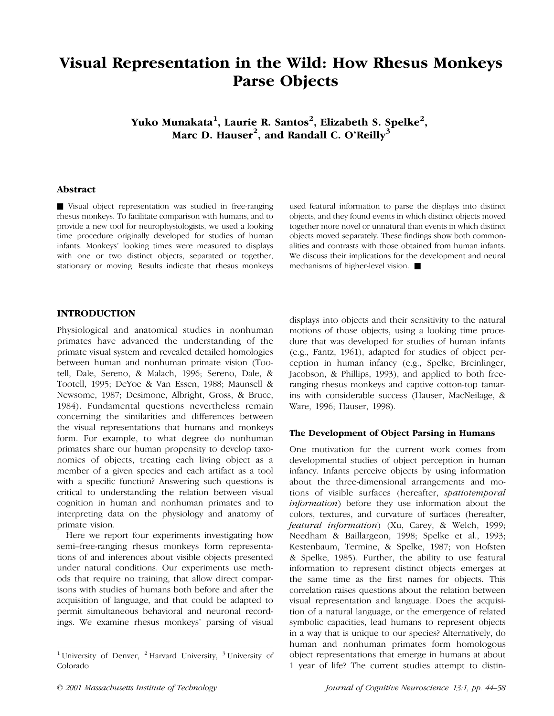# Visual Representation in the Wild: How Rhesus Monkeys **Parse Objects**

Yuko Munakata<sup>1</sup>, Laurie R. Santos<sup>2</sup>, Elizabeth S. Spelke<sup>2</sup>, Marc D. Hauser<sup>2</sup>, and Randall C. O'Reilly<sup>3</sup>

#### Abstract

Visual object representation was studied in free-ranging rhesus monkeys. To facilitate comparison with humans, and to provide a new tool for neurophysiologists, we used a looking time procedure originally developed for studies of human infants. Monkeys' looking times were measured to displays with one or two distinct objects, separated or together, stationary or moving. Results indicate that rhesus monkeys

used featural information to parse the displays into distinct objects, and they found events in which distinct objects moved together more novel or unnatural than events in which distinct objects moved separately. These findings show both commonalities and contrasts with those obtained from human infants. We discuss their implications for the development and neural mechanisms of higher-level vision. ■

# **INTRODUCTION**

Physiological and anatomical studies in nonhuman primates have advanced the understanding of the primate visual system and revealed detailed homologies between human and nonhuman primate vision (Tootell, Dale, Sereno, & Malach, 1996; Sereno, Dale, & Tootell, 1995; DeYoe & Van Essen, 1988; Maunsell & Newsome, 1987; Desimone, Albright, Gross, & Bruce, 1984). Fundamental questions nevertheless remain concerning the similarities and differences between the visual representations that humans and monkeys form. For example, to what degree do nonhuman primates share our human propensity to develop taxonomies of objects, treating each living object as a member of a given species and each artifact as a tool with a specific function? Answering such questions is critical to understanding the relation between visual cognition in human and nonhuman primates and to interpreting data on the physiology and anatomy of primate vision.

Here we report four experiments investigating how semi-free-ranging rhesus monkeys form representations of and inferences about visible objects presented under natural conditions. Our experiments use methods that require no training, that allow direct comparisons with studies of humans both before and after the acquisition of language, and that could be adapted to permit simultaneous behavioral and neuronal recordings. We examine rhesus monkeys' parsing of visual

displays into objects and their sensitivity to the natural motions of those objects, using a looking time procedure that was developed for studies of human infants (e.g., Fantz, 1961), adapted for studies of object perception in human infancy (e.g., Spelke, Breinlinger, Jacobson, & Phillips, 1993), and applied to both freeranging rhesus monkeys and captive cotton-top tamarins with considerable success (Hauser, MacNeilage, & Ware, 1996; Hauser, 1998).

#### The Development of Object Parsing in Humans

One motivation for the current work comes from developmental studies of object perception in human infancy. Infants perceive objects by using information about the three-dimensional arrangements and motions of visible surfaces (hereafter, spatiotemporal *information*) before they use information about the colors, textures, and curvature of surfaces (hereafter, featural information) (Xu, Carey, & Welch, 1999; Needham & Baillargeon, 1998; Spelke et al., 1993; Kestenbaum, Termine, & Spelke, 1987; von Hofsten & Spelke, 1985). Further, the ability to use featural information to represent distinct objects emerges at the same time as the first names for objects. This correlation raises questions about the relation between visual representation and language. Does the acquisition of a natural language, or the emergence of related symbolic capacities, lead humans to represent objects in a way that is unique to our species? Alternatively, do human and nonhuman primates form homologous object representations that emerge in humans at about 1 year of life? The current studies attempt to distin-

<sup>&</sup>lt;sup>1</sup> University of Denver, <sup>2</sup> Harvard University, <sup>3</sup> University of Colorado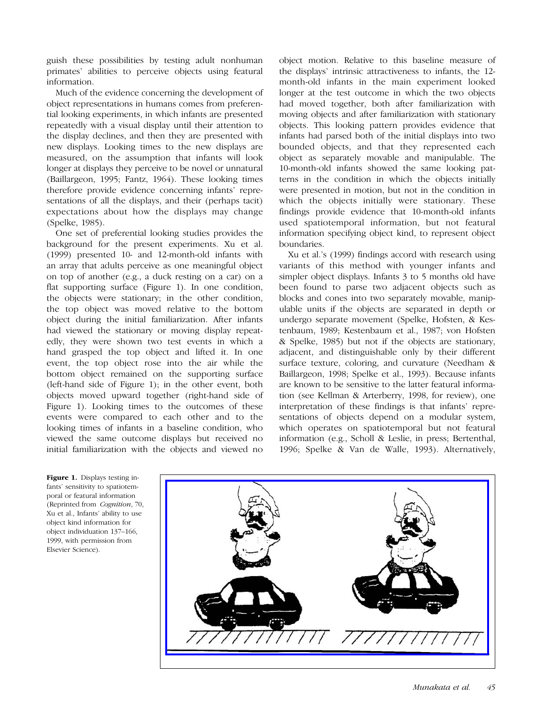guish these possibilities by testing adult nonhuman primates' abilities to perceive objects using featural information.

Much of the evidence concerning the development of object representations in humans comes from preferential looking experiments, in which infants are presented repeatedly with a visual display until their attention to the display declines, and then they are presented with new displays. Looking times to the new displays are measured, on the assumption that infants will look longer at displays they perceive to be novel or unnatural (Baillargeon, 1995; Fantz, 1964). These looking times therefore provide evidence concerning infants' representations of all the displays, and their (perhaps tacit) expectations about how the displays may change (Spelke, 1985).

One set of preferential looking studies provides the background for the present experiments. Xu et al. (1999) presented 10- and 12-month-old infants with an array that adults perceive as one meaningful object on top of another (e.g., a duck resting on a car) on a flat supporting surface (Figure 1). In one condition, the objects were stationary; in the other condition, the top object was moved relative to the bottom object during the initial familiarization. After infants had viewed the stationary or moving display repeatedly, they were shown two test events in which a hand grasped the top object and lifted it. In one event, the top object rose into the air while the bottom object remained on the supporting surface (left-hand side of Figure 1); in the other event, both objects moved upward together (right-hand side of Figure 1). Looking times to the outcomes of these events were compared to each other and to the looking times of infants in a baseline condition, who viewed the same outcome displays but received no initial familiarization with the objects and viewed no

object motion. Relative to this baseline measure of the displays' intrinsic attractiveness to infants, the 12month-old infants in the main experiment looked longer at the test outcome in which the two objects had moved together, both after familiarization with moving objects and after familiarization with stationary objects. This looking pattern provides evidence that infants had parsed both of the initial displays into two bounded objects, and that they represented each object as separately movable and manipulable. The 10-month-old infants showed the same looking patterns in the condition in which the objects initially were presented in motion, but not in the condition in which the objects initially were stationary. These findings provide evidence that 10-month-old infants used spatiotemporal information, but not featural information specifying object kind, to represent object boundaries.

Xu et al.'s (1999) findings accord with research using variants of this method with younger infants and simpler object displays. Infants 3 to 5 months old have been found to parse two adjacent objects such as blocks and cones into two separately movable, manipulable units if the objects are separated in depth or undergo separate movement (Spelke, Hofsten, & Kestenbaum, 1989; Kestenbaum et al., 1987; von Hofsten & Spelke, 1985) but not if the objects are stationary, adjacent, and distinguishable only by their different surface texture, coloring, and curvature (Needham & Baillargeon, 1998; Spelke et al., 1993). Because infants are known to be sensitive to the latter featural information (see Kellman & Arterberry, 1998, for review), one interpretation of these findings is that infants' representations of objects depend on a modular system, which operates on spatiotemporal but not featural information (e.g., Scholl & Leslie, in press; Bertenthal, 1996; Spelke & Van de Walle, 1993). Alternatively,

Figure 1. Displays testing infants' sensitivity to spatiotemporal or featural information (Reprinted from Cognition, 70, Xu et al., Infants' ability to use object kind information for object individuation 137-166, 1999, with permission from Elsevier Science).

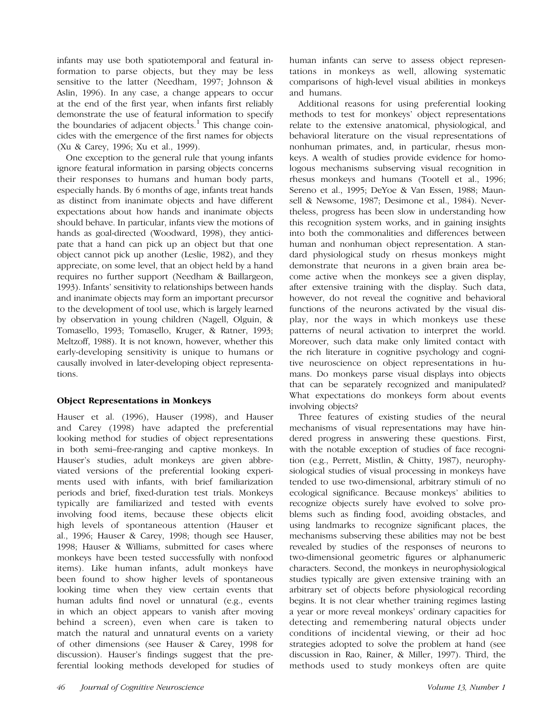infants may use both spatiotemporal and featural information to parse objects, but they may be less sensitive to the latter (Needham, 1997; Johnson & Aslin, 1996). In any case, a change appears to occur at the end of the first year, when infants first reliably demonstrate the use of featural information to specify the boundaries of adjacent objects.<sup>1</sup> This change coincides with the emergence of the first names for objects (Xu & Carey, 1996; Xu et al., 1999).

One exception to the general rule that young infants ignore featural information in parsing objects concerns their responses to humans and human body parts, especially hands. By 6 months of age, infants treat hands as distinct from inanimate objects and have different expectations about how hands and inanimate objects should behave. In particular, infants view the motions of hands as goal-directed (Woodward, 1998), they anticipate that a hand can pick up an object but that one object cannot pick up another (Leslie, 1982), and they appreciate, on some level, that an object held by a hand requires no further support (Needham & Baillargeon, 1993). Infants' sensitivity to relationships between hands and inanimate objects may form an important precursor to the development of tool use, which is largely learned by observation in young children (Nagell, Olguin, & Tomasello, 1993; Tomasello, Kruger, & Ratner, 1993; Meltzoff, 1988). It is not known, however, whether this early-developing sensitivity is unique to humans or causally involved in later-developing object representations.

# **Object Representations in Monkeys**

Hauser et al. (1996), Hauser (1998), and Hauser and Carey (1998) have adapted the preferential looking method for studies of object representations in both semi-free-ranging and captive monkeys. In Hauser's studies, adult monkeys are given abbreviated versions of the preferential looking experiments used with infants, with brief familiarization periods and brief, fixed-duration test trials. Monkeys typically are familiarized and tested with events involving food items, because these objects elicit high levels of spontaneous attention (Hauser et al., 1996; Hauser & Carey, 1998; though see Hauser, 1998; Hauser & Williams, submitted for cases where monkeys have been tested successfully with nonfood items). Like human infants, adult monkeys have been found to show higher levels of spontaneous looking time when they view certain events that human adults find novel or unnatural (e.g., events in which an object appears to vanish after moving behind a screen), even when care is taken to match the natural and unnatural events on a variety of other dimensions (see Hauser & Carey, 1998 for discussion). Hauser's findings suggest that the preferential looking methods developed for studies of human infants can serve to assess object representations in monkeys as well, allowing systematic comparisons of high-level visual abilities in monkeys and humans.

Additional reasons for using preferential looking methods to test for monkeys' object representations relate to the extensive anatomical, physiological, and behavioral literature on the visual representations of nonhuman primates, and, in particular, rhesus monkeys. A wealth of studies provide evidence for homologous mechanisms subserving visual recognition in rhesus monkeys and humans (Tootell et al., 1996; Sereno et al., 1995; DeYoe & Van Essen, 1988; Maunsell & Newsome, 1987; Desimone et al., 1984). Nevertheless, progress has been slow in understanding how this recognition system works, and in gaining insights into both the commonalities and differences between human and nonhuman object representation. A standard physiological study on rhesus monkeys might demonstrate that neurons in a given brain area become active when the monkeys see a given display, after extensive training with the display. Such data, however, do not reveal the cognitive and behavioral functions of the neurons activated by the visual display, nor the ways in which monkeys use these patterns of neural activation to interpret the world. Moreover, such data make only limited contact with the rich literature in cognitive psychology and cognitive neuroscience on object representations in humans. Do monkeys parse visual displays into objects that can be separately recognized and manipulated? What expectations do monkeys form about events involving objects?

Three features of existing studies of the neural mechanisms of visual representations may have hindered progress in answering these questions. First, with the notable exception of studies of face recognition (e.g., Perrett, Mistlin, & Chitty, 1987), neurophysiological studies of visual processing in monkeys have tended to use two-dimensional, arbitrary stimuli of no ecological significance. Because monkeys' abilities to recognize objects surely have evolved to solve problems such as finding food, avoiding obstacles, and using landmarks to recognize significant places, the mechanisms subserving these abilities may not be best revealed by studies of the responses of neurons to two-dimensional geometric figures or alphanumeric characters. Second, the monkeys in neurophysiological studies typically are given extensive training with an arbitrary set of objects before physiological recording begins. It is not clear whether training regimes lasting a year or more reveal monkeys' ordinary capacities for detecting and remembering natural objects under conditions of incidental viewing, or their ad hoc strategies adopted to solve the problem at hand (see discussion in Rao, Rainer, & Miller, 1997). Third, the methods used to study monkeys often are quite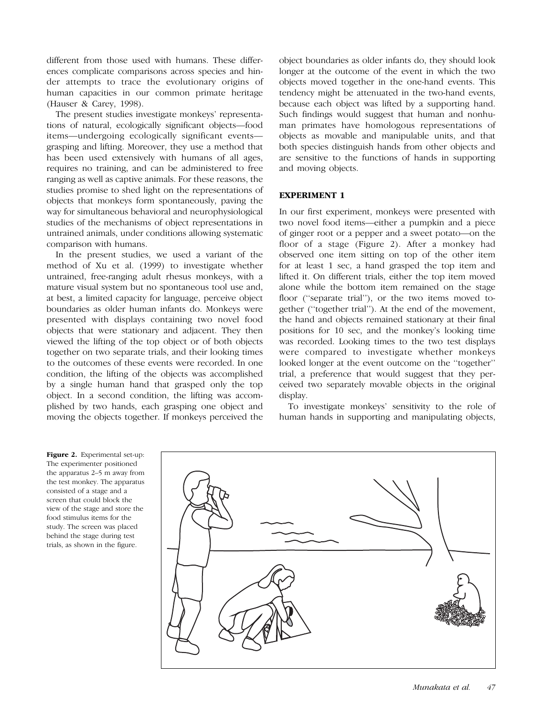different from those used with humans. These differences complicate comparisons across species and hinder attempts to trace the evolutionary origins of human capacities in our common primate heritage (Hauser & Carey, 1998).

The present studies investigate monkeys' representations of natural, ecologically significant objects-food items—undergoing ecologically significant events grasping and lifting. Moreover, they use a method that has been used extensively with humans of all ages, requires no training, and can be administered to free ranging as well as captive animals. For these reasons, the studies promise to shed light on the representations of objects that monkeys form spontaneously, paving the way for simultaneous behavioral and neurophysiological studies of the mechanisms of object representations in untrained animals, under conditions allowing systematic comparison with humans.

In the present studies, we used a variant of the method of Xu et al. (1999) to investigate whether untrained, free-ranging adult rhesus monkeys, with a mature visual system but no spontaneous tool use and, at best, a limited capacity for language, perceive object boundaries as older human infants do. Monkeys were presented with displays containing two novel food objects that were stationary and adjacent. They then viewed the lifting of the top object or of both objects together on two separate trials, and their looking times to the outcomes of these events were recorded. In one condition, the lifting of the objects was accomplished by a single human hand that grasped only the top object. In a second condition, the lifting was accomplished by two hands, each grasping one object and moving the objects together. If monkeys perceived the

object boundaries as older infants do, they should look longer at the outcome of the event in which the two objects moved together in the one-hand events. This tendency might be attenuated in the two-hand events, because each object was lifted by a supporting hand. Such findings would suggest that human and nonhuman primates have homologous representations of objects as movable and manipulable units, and that both species distinguish hands from other objects and are sensitive to the functions of hands in supporting and moving objects.

#### **EXPERIMENT 1**

In our first experiment, monkeys were presented with two novel food items—either a pumpkin and a piece of ginger root or a pepper and a sweet potato—on the floor of a stage (Figure 2). After a monkey had observed one item sitting on top of the other item for at least 1 sec, a hand grasped the top item and lifted it. On different trials, either the top item moved alone while the bottom item remained on the stage floor ("separate trial"), or the two items moved together ("together trial"). At the end of the movement, the hand and objects remained stationary at their final positions for 10 sec, and the monkey's looking time was recorded. Looking times to the two test displays were compared to investigate whether monkeys looked longer at the event outcome on the "together" trial, a preference that would suggest that they perceived two separately movable objects in the original display.

To investigate monkeys' sensitivity to the role of human hands in supporting and manipulating objects,

Figure 2. Experimental set-up: The experimenter positioned the apparatus 2–5 m away from the test monkey. The apparatus consisted of a stage and a screen that could block the view of the stage and store the food stimulus items for the study. The screen was placed behind the stage during test trials, as shown in the figure.

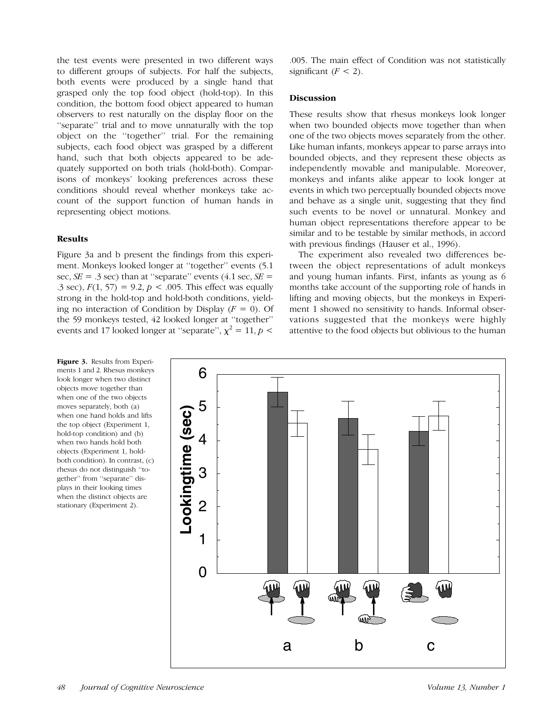the test events were presented in two different ways to different groups of subjects. For half the subjects, both events were produced by a single hand that grasped only the top food object (hold-top). In this condition, the bottom food object appeared to human observers to rest naturally on the display floor on the "separate" trial and to move unnaturally with the top object on the "together" trial. For the remaining subjects, each food object was grasped by a different hand, such that both objects appeared to be adequately supported on both trials (hold-both). Comparisons of monkeys' looking preferences across these conditions should reveal whether monkeys take account of the support function of human hands in representing object motions.

#### **Results**

Figure 3a and b present the findings from this experiment. Monkeys looked longer at "together" events (5.1) sec,  $SE = .3$  sec) than at "separate" events (4.1 sec,  $SE =$ .3 sec),  $F(1, 57) = 9.2$ ,  $p < .005$ . This effect was equally strong in the hold-top and hold-both conditions, yielding no interaction of Condition by Display  $(F = 0)$ . Of the 59 monkeys tested, 42 looked longer at "together" events and 17 looked longer at "separate",  $\chi^2 = 11$ ,  $p <$ 

.005. The main effect of Condition was not statistically significant  $(F < 2)$ .

#### **Discussion**

These results show that rhesus monkeys look longer when two bounded objects move together than when one of the two objects moves separately from the other. Like human infants, monkeys appear to parse arrays into bounded objects, and they represent these objects as independently movable and manipulable. Moreover, monkeys and infants alike appear to look longer at events in which two perceptually bounded objects move and behave as a single unit, suggesting that they find such events to be novel or unnatural. Monkey and human object representations therefore appear to be similar and to be testable by similar methods, in accord with previous findings (Hauser et al., 1996).

The experiment also revealed two differences between the object representations of adult monkeys and young human infants. First, infants as young as 6 months take account of the supporting role of hands in lifting and moving objects, but the monkeys in Experiment 1 showed no sensitivity to hands. Informal observations suggested that the monkeys were highly attentive to the food objects but oblivious to the human



ments 1 and 2. Rhesus monkeys look longer when two distinct objects move together than when one of the two objects moves separately, both (a) when one hand holds and lifts the top object (Experiment 1, hold-top condition) and (b) when two hands hold both objects (Experiment 1, holdboth condition). In contrast, (c) rhesus do not distinguish "together" from "separate" displays in their looking times when the distinct objects are stationary (Experiment 2).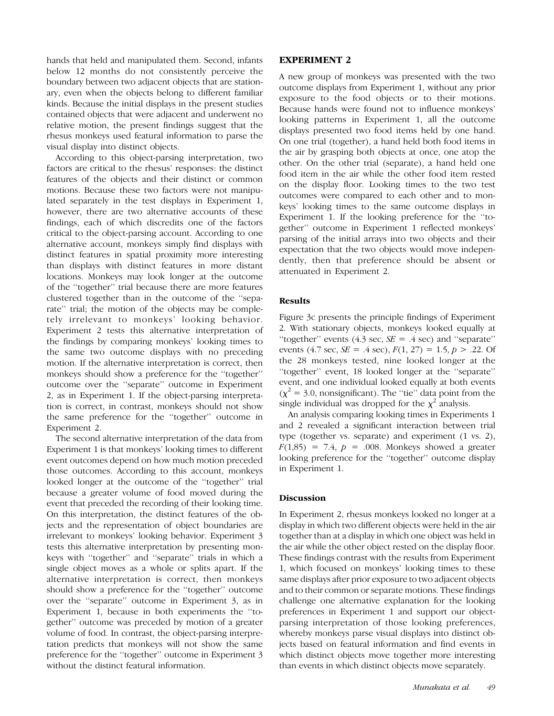hands that held and manipulated them. Second, infants below 12 months do not consistently perceive the boundary between two adjacent objects that are stationary, even when the objects belong to different familiar kinds. Because the initial displays in the present studies contained objects that were adjacent and underwent no relative motion, the present findings suggest that the rhesus monkeys used featural information to parse the visual display into distinct objects.

According to this object-parsing interpretation, two factors are critical to the rhesus' responses: the distinct features of the objects and their distinct or common motions. Because these two factors were not manipulated separately in the test displays in Experiment 1, however, there are two alternative accounts of these findings, each of which discredits one of the factors critical to the object-parsing account. According to one alternative account, monkeys simply find displays with distinct features in spatial proximity more interesting than displays with distinct features in more distant locations. Monkeys may look longer at the outcome of the "together" trial because there are more features clustered together than in the outcome of the "separate" trial; the motion of the objects may be completely irrelevant to monkeys' looking behavior. Experiment 2 tests this alternative interpretation of the findings by comparing monkeys' looking times to the same two outcome displays with no preceding motion. If the alternative interpretation is correct, then monkeys should show a preference for the "together" outcome over the "separate" outcome in Experiment 2, as in Experiment 1. If the object-parsing interpretation is correct, in contrast, monkeys should not show the same preference for the "together" outcome in Experiment 2.

The second alternative interpretation of the data from Experiment 1 is that monkeys' looking times to different event outcomes depend on how much motion preceded those outcomes. According to this account, monkeys looked longer at the outcome of the "together" trial because a greater volume of food moved during the event that preceded the recording of their looking time. On this interpretation, the distinct features of the objects and the representation of object boundaries are irrelevant to monkeys' looking behavior. Experiment 3 tests this alternative interpretation by presenting monkeys with "together" and "separate" trials in which a single object moves as a whole or splits apart. If the alternative interpretation is correct, then monkeys should show a preference for the "together" outcome over the "separate" outcome in Experiment 3, as in Experiment 1, because in both experiments the "together" outcome was preceded by motion of a greater volume of food. In contrast, the object-parsing interpretation predicts that monkeys will not show the same preference for the "together" outcome in Experiment 3 without the distinct featural information.

#### **EXPERIMENT 2**

A new group of monkeys was presented with the two outcome displays from Experiment 1, without any prior exposure to the food objects or to their motions. Because hands were found not to influence monkeys' looking patterns in Experiment 1, all the outcome displays presented two food items held by one hand. On one trial (together), a hand held both food items in the air by grasping both objects at once, one atop the other. On the other trial (separate), a hand held one food item in the air while the other food item rested on the display floor. Looking times to the two test outcomes were compared to each other and to monkeys' looking times to the same outcome displays in Experiment 1. If the looking preference for the "together" outcome in Experiment 1 reflected monkeys' parsing of the initial arrays into two objects and their expectation that the two objects would move independently, then that preference should be absent or attenuated in Experiment 2.

#### **Results**

Figure 3c presents the principle findings of Experiment 2. With stationary objects, monkeys looked equally at "together" events (4.3 sec,  $SE = .4$  sec) and "separate" events (4.7 sec,  $SE = .4$  sec),  $F(1, 27) = 1.5$ ,  $p > .22$ . Of the 28 monkeys tested, nine looked longer at the "together" event, 18 looked longer at the "separate" event, and one individual looked equally at both events  $(\chi^2 = 3.0,$  nonsignificant). The "tie" data point from the single individual was dropped for the  $\chi^2$  analysis.

An analysis comparing looking times in Experiments 1 and 2 revealed a significant interaction between trial type (together vs. separate) and experiment  $(1 \text{ vs. } 2)$ ,  $F(1,85) = 7.4$ ,  $p = .008$ . Monkeys showed a greater looking preference for the "together" outcome display in Experiment 1.

#### **Discussion**

In Experiment 2, rhesus monkeys looked no longer at a display in which two different objects were held in the air together than at a display in which one object was held in the air while the other object rested on the display floor. These findings contrast with the results from Experiment 1, which focused on monkeys' looking times to these same displays after prior exposure to two adjacent objects and to their common or separate motions. These findings challenge one alternative explanation for the looking preferences in Experiment 1 and support our objectparsing interpretation of those looking preferences, whereby monkeys parse visual displays into distinct objects based on featural information and find events in which distinct objects move together more interesting than events in which distinct objects move separately.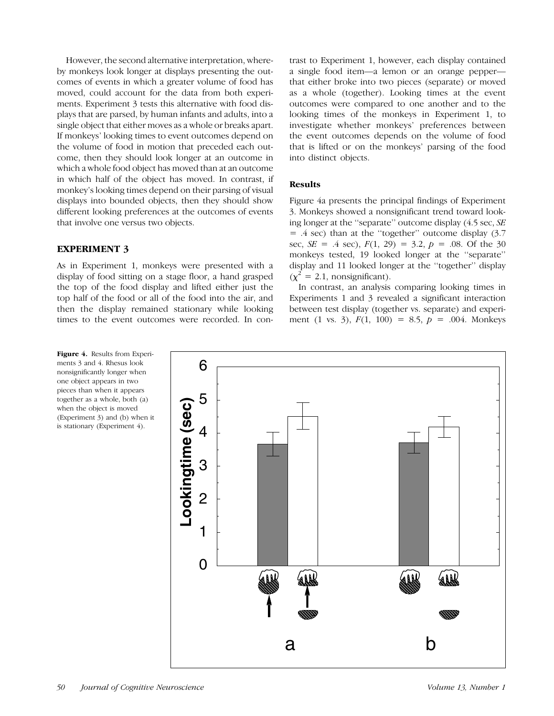However, the second alternative interpretation, whereby monkeys look longer at displays presenting the outcomes of events in which a greater volume of food has moved, could account for the data from both experiments. Experiment 3 tests this alternative with food displays that are parsed, by human infants and adults, into a single object that either moves as a whole or breaks apart. If monkeys' looking times to event outcomes depend on the volume of food in motion that preceded each outcome, then they should look longer at an outcome in which a whole food object has moved than at an outcome in which half of the object has moved. In contrast, if monkey's looking times depend on their parsing of visual displays into bounded objects, then they should show different looking preferences at the outcomes of events that involve one versus two objects.

#### **EXPERIMENT 3**

As in Experiment 1, monkeys were presented with a display of food sitting on a stage floor, a hand grasped the top of the food display and lifted either just the top half of the food or all of the food into the air, and then the display remained stationary while looking times to the event outcomes were recorded. In contrast to Experiment 1, however, each display contained a single food item—a lemon or an orange pepper that either broke into two pieces (separate) or moved as a whole (together). Looking times at the event outcomes were compared to one another and to the looking times of the monkeys in Experiment 1, to investigate whether monkeys' preferences between the event outcomes depends on the volume of food that is lifted or on the monkeys' parsing of the food into distinct objects.

#### **Results**

Figure 4a presents the principal findings of Experiment 3. Monkeys showed a nonsignificant trend toward looking longer at the "separate" outcome display (4.5 sec, SE  $=$  .4 sec) than at the "together" outcome display (3.7) sec,  $SE = .4$  sec),  $F(1, 29) = 3.2$ ,  $p = .08$ . Of the 30 monkeys tested, 19 looked longer at the "separate" display and 11 looked longer at the "together" display  $(\chi^2 = 2.1,$  nonsignificant).

In contrast, an analysis comparing looking times in Experiments 1 and 3 revealed a significant interaction between test display (together vs. separate) and experiment (1 vs. 3),  $F(1, 100) = 8.5$ ,  $p = .004$ . Monkeys



Figure 4. Results from Experiments 3 and 4. Rhesus look nonsignificantly longer when one object appears in two pieces than when it appears together as a whole, both (a) when the object is moved (Experiment 3) and (b) when it is stationary (Experiment 4).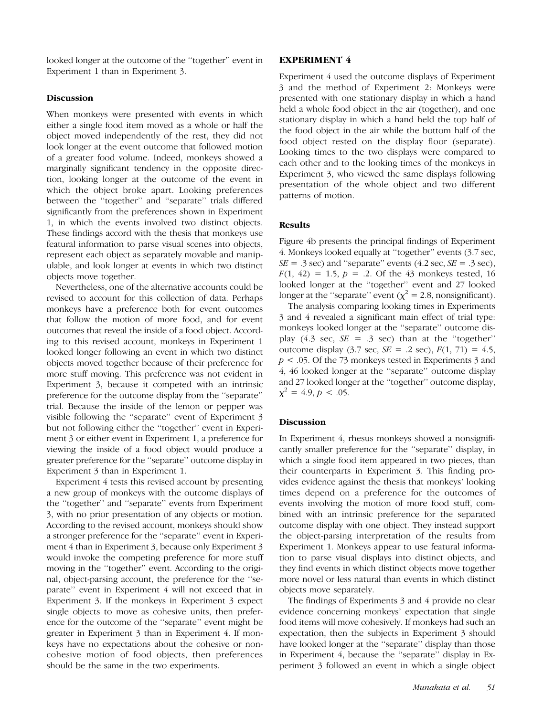looked longer at the outcome of the "together" event in Experiment 1 than in Experiment 3.

#### **Discussion**

When monkeys were presented with events in which either a single food item moved as a whole or half the object moved independently of the rest, they did not look longer at the event outcome that followed motion of a greater food volume. Indeed, monkeys showed a marginally significant tendency in the opposite direction, looking longer at the outcome of the event in which the object broke apart. Looking preferences between the "together" and "separate" trials differed significantly from the preferences shown in Experiment 1, in which the events involved two distinct objects. These findings accord with the thesis that monkeys use featural information to parse visual scenes into objects, represent each object as separately movable and manipulable, and look longer at events in which two distinct objects move together.

Nevertheless, one of the alternative accounts could be revised to account for this collection of data. Perhaps monkeys have a preference both for event outcomes that follow the motion of more food, and for event outcomes that reveal the inside of a food object. According to this revised account, monkeys in Experiment 1 looked longer following an event in which two distinct objects moved together because of their preference for more stuff moving. This preference was not evident in Experiment 3, because it competed with an intrinsic preference for the outcome display from the "separate" trial. Because the inside of the lemon or pepper was visible following the "separate" event of Experiment 3 but not following either the "together" event in Experiment 3 or either event in Experiment 1, a preference for viewing the inside of a food object would produce a greater preference for the "separate" outcome display in Experiment 3 than in Experiment 1.

Experiment 4 tests this revised account by presenting a new group of monkeys with the outcome displays of the "together" and "separate" events from Experiment 3, with no prior presentation of any objects or motion. According to the revised account, monkeys should show a stronger preference for the "separate" event in Experiment 4 than in Experiment 3, because only Experiment 3 would invoke the competing preference for more stuff moving in the "together" event. According to the original, object-parsing account, the preference for the "separate" event in Experiment 4 will not exceed that in Experiment 3. If the monkeys in Experiment 3 expect single objects to move as cohesive units, then preference for the outcome of the "separate" event might be greater in Experiment 3 than in Experiment 4. If monkeys have no expectations about the cohesive or noncohesive motion of food objects, then preferences should be the same in the two experiments.

# **EXPERIMENT 4**

Experiment 4 used the outcome displays of Experiment 3 and the method of Experiment 2: Monkeys were presented with one stationary display in which a hand held a whole food object in the air (together), and one stationary display in which a hand held the top half of the food object in the air while the bottom half of the food object rested on the display floor (separate). Looking times to the two displays were compared to each other and to the looking times of the monkeys in Experiment 3, who viewed the same displays following presentation of the whole object and two different patterns of motion.

#### **Results**

Figure 4b presents the principal findings of Experiment 4. Monkeys looked equally at "together" events (3.7 sec,  $SE = .3 \text{ sec}$ ) and "separate" events (4.2 sec,  $SE = .3 \text{ sec}$ ),  $F(1, 42) = 1.5, p = .2$ . Of the 43 monkeys tested, 16 looked longer at the "together" event and 27 looked longer at the "separate" event ( $\chi^2$  = 2.8, nonsignificant).

The analysis comparing looking times in Experiments 3 and 4 revealed a significant main effect of trial type: monkeys looked longer at the "separate" outcome display  $(4.3 \text{ sec}, \text{ } sE = .3 \text{ sec})$  than at the "together" outcome display (3.7 sec,  $SE = .2$  sec),  $F(1, 71) = 4.5$ ,  $p < .05$ . Of the 73 monkeys tested in Experiments 3 and 4, 46 looked longer at the "separate" outcome display and 27 looked longer at the "together" outcome display,  $\chi^2 = 4.9, p < .05.$ 

#### **Discussion**

In Experiment 4, rhesus monkeys showed a nonsignificantly smaller preference for the "separate" display, in which a single food item appeared in two pieces, than their counterparts in Experiment 3. This finding provides evidence against the thesis that monkeys' looking times depend on a preference for the outcomes of events involving the motion of more food stuff, combined with an intrinsic preference for the separated outcome display with one object. They instead support the object-parsing interpretation of the results from Experiment 1. Monkeys appear to use featural information to parse visual displays into distinct objects, and they find events in which distinct objects move together more novel or less natural than events in which distinct objects move separately.

The findings of Experiments 3 and 4 provide no clear evidence concerning monkeys' expectation that single food items will move cohesively. If monkeys had such an expectation, then the subjects in Experiment 3 should have looked longer at the "separate" display than those in Experiment 4, because the "separate" display in Experiment 3 followed an event in which a single object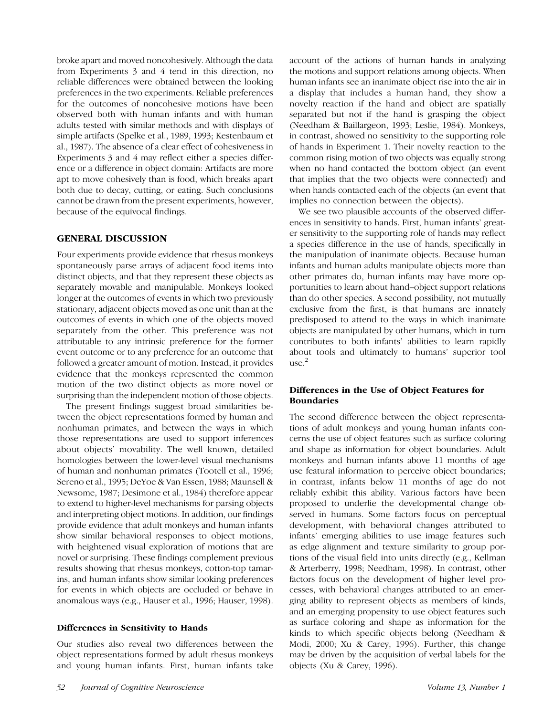broke apart and moved noncohesively. Although the data from Experiments 3 and 4 tend in this direction, no reliable differences were obtained between the looking preferences in the two experiments. Reliable preferences for the outcomes of noncohesive motions have been observed both with human infants and with human adults tested with similar methods and with displays of simple artifacts (Spelke et al., 1989, 1993; Kestenbaum et al., 1987). The absence of a clear effect of cohesiveness in Experiments 3 and 4 may reflect either a species difference or a difference in object domain: Artifacts are more apt to move cohesively than is food, which breaks apart both due to decay, cutting, or eating. Such conclusions cannot be drawn from the present experiments, however, because of the equivocal findings.

# **GENERAL DISCUSSION**

Four experiments provide evidence that rhesus monkeys spontaneously parse arrays of adjacent food items into distinct objects, and that they represent these objects as separately movable and manipulable. Monkeys looked longer at the outcomes of events in which two previously stationary, adjacent objects moved as one unit than at the outcomes of events in which one of the objects moved separately from the other. This preference was not attributable to any intrinsic preference for the former event outcome or to any preference for an outcome that followed a greater amount of motion. Instead, it provides evidence that the monkeys represented the common motion of the two distinct objects as more novel or surprising than the independent motion of those objects.

The present findings suggest broad similarities between the object representations formed by human and nonhuman primates, and between the ways in which those representations are used to support inferences about objects' movability. The well known, detailed homologies between the lower-level visual mechanisms of human and nonhuman primates (Tootell et al., 1996; Sereno et al., 1995; DeYoe & Van Essen, 1988; Maunsell & Newsome, 1987; Desimone et al., 1984) therefore appear to extend to higher-level mechanisms for parsing objects and interpreting object motions. In addition, our findings provide evidence that adult monkeys and human infants show similar behavioral responses to object motions, with heightened visual exploration of motions that are novel or surprising. These findings complement previous results showing that rhesus monkeys, cotton-top tamarins, and human infants show similar looking preferences for events in which objects are occluded or behave in anomalous ways (e.g., Hauser et al., 1996; Hauser, 1998).

# Differences in Sensitivity to Hands

Our studies also reveal two differences between the object representations formed by adult rhesus monkeys and young human infants. First, human infants take account of the actions of human hands in analyzing the motions and support relations among objects. When human infants see an inanimate object rise into the air in a display that includes a human hand, they show a novelty reaction if the hand and object are spatially separated but not if the hand is grasping the object (Needham & Baillargeon, 1993; Leslie, 1984). Monkeys, in contrast, showed no sensitivity to the supporting role of hands in Experiment 1. Their novelty reaction to the common rising motion of two objects was equally strong when no hand contacted the bottom object (an event that implies that the two objects were connected) and when hands contacted each of the objects (an event that implies no connection between the objects).

We see two plausible accounts of the observed differences in sensitivity to hands. First, human infants' greater sensitivity to the supporting role of hands may reflect a species difference in the use of hands, specifically in the manipulation of inanimate objects. Because human infants and human adults manipulate objects more than other primates do, human infants may have more opportunities to learn about hand-object support relations than do other species. A second possibility, not mutually exclusive from the first, is that humans are innately predisposed to attend to the ways in which inanimate objects are manipulated by other humans, which in turn contributes to both infants' abilities to learn rapidly about tools and ultimately to humans' superior tool  $use.<sup>2</sup>$ 

# Differences in the Use of Object Features for **Boundaries**

The second difference between the object representations of adult monkeys and young human infants concerns the use of object features such as surface coloring and shape as information for object boundaries. Adult monkeys and human infants above 11 months of age use featural information to perceive object boundaries; in contrast, infants below 11 months of age do not reliably exhibit this ability. Various factors have been proposed to underlie the developmental change observed in humans. Some factors focus on perceptual development, with behavioral changes attributed to infants' emerging abilities to use image features such as edge alignment and texture similarity to group portions of the visual field into units directly (e.g., Kellman & Arterberry, 1998; Needham, 1998). In contrast, other factors focus on the development of higher level processes, with behavioral changes attributed to an emerging ability to represent objects as members of kinds, and an emerging propensity to use object features such as surface coloring and shape as information for the kinds to which specific objects belong (Needham & Modi, 2000; Xu & Carey, 1996). Further, this change may be driven by the acquisition of verbal labels for the objects (Xu & Carey, 1996).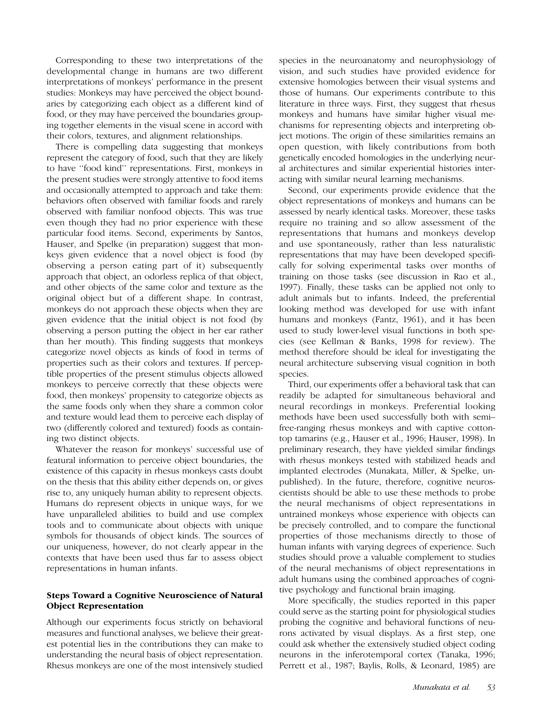Corresponding to these two interpretations of the developmental change in humans are two different interpretations of monkeys' performance in the present studies: Monkeys may have perceived the object boundaries by categorizing each object as a different kind of food, or they may have perceived the boundaries grouping together elements in the visual scene in accord with their colors, textures, and alignment relationships.

There is compelling data suggesting that monkeys represent the category of food, such that they are likely to have "food kind" representations. First, monkeys in the present studies were strongly attentive to food items and occasionally attempted to approach and take them: behaviors often observed with familiar foods and rarely observed with familiar nonfood objects. This was true even though they had no prior experience with these particular food items. Second, experiments by Santos, Hauser, and Spelke (in preparation) suggest that monkeys given evidence that a novel object is food (by observing a person eating part of it) subsequently approach that object, an odorless replica of that object, and other objects of the same color and texture as the original object but of a different shape. In contrast, monkeys do not approach these objects when they are given evidence that the initial object is not food (by observing a person putting the object in her ear rather than her mouth). This finding suggests that monkeys categorize novel objects as kinds of food in terms of properties such as their colors and textures. If perceptible properties of the present stimulus objects allowed monkeys to perceive correctly that these objects were food, then monkeys' propensity to categorize objects as the same foods only when they share a common color and texture would lead them to perceive each display of two (differently colored and textured) foods as containing two distinct objects.

Whatever the reason for monkeys' successful use of featural information to perceive object boundaries, the existence of this capacity in rhesus monkeys casts doubt on the thesis that this ability either depends on, or gives rise to, any uniquely human ability to represent objects. Humans do represent objects in unique ways, for we have unparalleled abilities to build and use complex tools and to communicate about objects with unique symbols for thousands of object kinds. The sources of our uniqueness, however, do not clearly appear in the contexts that have been used thus far to assess object representations in human infants.

# **Steps Toward a Cognitive Neuroscience of Natural Object Representation**

Although our experiments focus strictly on behavioral measures and functional analyses, we believe their greatest potential lies in the contributions they can make to understanding the neural basis of object representation. Rhesus monkeys are one of the most intensively studied species in the neuroanatomy and neurophysiology of vision, and such studies have provided evidence for extensive homologies between their visual systems and those of humans. Our experiments contribute to this literature in three ways. First, they suggest that rhesus monkeys and humans have similar higher visual mechanisms for representing objects and interpreting object motions. The origin of these similarities remains an open question, with likely contributions from both genetically encoded homologies in the underlying neural architectures and similar experiential histories interacting with similar neural learning mechanisms.

Second, our experiments provide evidence that the object representations of monkeys and humans can be assessed by nearly identical tasks. Moreover, these tasks require no training and so allow assessment of the representations that humans and monkeys develop and use spontaneously, rather than less naturalistic representations that may have been developed specifically for solving experimental tasks over months of training on those tasks (see discussion in Rao et al., 1997). Finally, these tasks can be applied not only to adult animals but to infants. Indeed, the preferential looking method was developed for use with infant humans and monkeys (Fantz, 1961), and it has been used to study lower-level visual functions in both species (see Kellman & Banks, 1998 for review). The method therefore should be ideal for investigating the neural architecture subserving visual cognition in both species.

Third, our experiments offer a behavioral task that can readily be adapted for simultaneous behavioral and neural recordings in monkeys. Preferential looking methods have been used successfully both with semifree-ranging rhesus monkeys and with captive cottontop tamarins (e.g., Hauser et al., 1996; Hauser, 1998). In preliminary research, they have yielded similar findings with rhesus monkeys tested with stabilized heads and implanted electrodes (Munakata, Miller, & Spelke, unpublished). In the future, therefore, cognitive neuroscientists should be able to use these methods to probe the neural mechanisms of object representations in untrained monkeys whose experience with objects can be precisely controlled, and to compare the functional properties of those mechanisms directly to those of human infants with varying degrees of experience. Such studies should prove a valuable complement to studies of the neural mechanisms of object representations in adult humans using the combined approaches of cognitive psychology and functional brain imaging.

More specifically, the studies reported in this paper could serve as the starting point for physiological studies probing the cognitive and behavioral functions of neurons activated by visual displays. As a first step, one could ask whether the extensively studied object coding neurons in the inferotemporal cortex (Tanaka, 1996; Perrett et al., 1987; Baylis, Rolls, & Leonard, 1985) are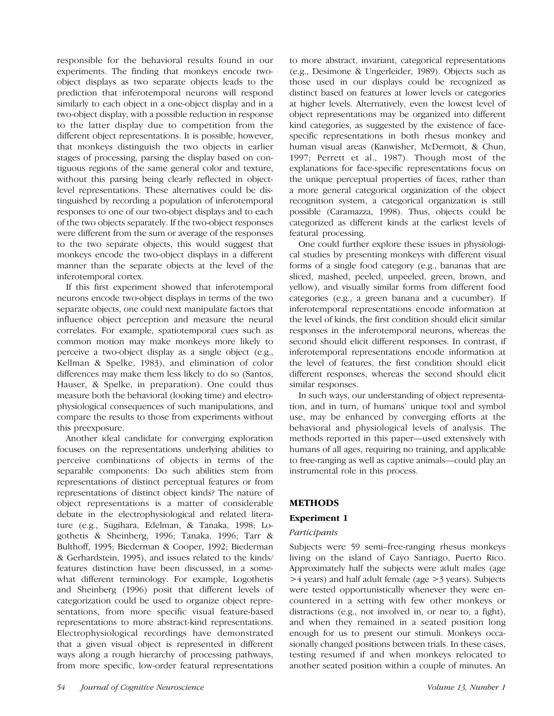responsible for the behavioral results found in our experiments. The finding that monkeys encode twoobject displays as two separate objects leads to the prediction that inferotemporal neurons will respond similarly to each object in a one-object display and in a two-object display, with a possible reduction in response to the latter display due to competition from the different object representations. It is possible, however, that monkeys distinguish the two objects in earlier stages of processing, parsing the display based on contiguous regions of the same general color and texture, without this parsing being clearly reflected in objectlevel representations. These alternatives could be distinguished by recording a population of inferotemporal responses to one of our two-object displays and to each of the two objects separately. If the two-object responses were different from the sum or average of the responses to the two separate objects, this would suggest that monkeys encode the two-object displays in a different manner than the separate objects at the level of the inferotemporal cortex.

If this first experiment showed that inferotemporal neurons encode two-object displays in terms of the two separate objects, one could next manipulate factors that influence object perception and measure the neural correlates. For example, spatiotemporal cues such as common motion may make monkeys more likely to perceive a two-object display as a single object (e.g., Kellman & Spelke, 1983), and elimination of color differences may make them less likely to do so (Santos, Hauser, & Spelke, in preparation). One could thus measure both the behavioral (looking time) and electrophysiological consequences of such manipulations, and compare the results to those from experiments without this preexposure.

Another ideal candidate for converging exploration focuses on the representations underlying abilities to perceive combinations of objects in terms of the separable components: Do such abilities stem from representations of distinct perceptual features or from representations of distinct object kinds? The nature of object representations is a matter of considerable debate in the electrophysiological and related literature (e.g., Sugihara, Edelman, & Tanaka, 1998; Logothetis & Sheinberg, 1996; Tanaka, 1996; Tarr & Bulthoff, 1995; Biederman & Cooper, 1992; Biederman & Gerhardstein, 1995), and issues related to the kinds/ features distinction have been discussed, in a somewhat different terminology. For example, Logothetis and Sheinberg (1996) posit that different levels of categorization could be used to organize object representations, from more specific visual feature-based representations to more abstract-kind representations. Electrophysiological recordings have demonstrated that a given visual object is represented in different ways along a rough hierarchy of processing pathways, from more specific, low-order featural representations

to more abstract, invariant, categorical representations (e.g., Desimone & Ungerleider, 1989). Objects such as those used in our displays could be recognized as distinct based on features at lower levels or categories at higher levels. Alternatively, even the lowest level of object representations may be organized into different kind categories, as suggested by the existence of facespecific representations in both rhesus monkey and human visual areas (Kanwisher, McDermott, & Chun, 1997; Perrett et al., 1987). Though most of the explanations for face-specific representations focus on the unique perceptual properties of faces, rather than a more general categorical organization of the object recognition system, a categorical organization is still possible (Caramazza, 1998). Thus, objects could be categorized as different kinds at the earliest levels of featural processing.

One could further explore these issues in physiological studies by presenting monkeys with different visual forms of a single food category (e.g., bananas that are sliced, mashed, peeled, unpeeled, green, brown, and yellow), and visually similar forms from different food categories (e.g., a green banana and a cucumber). If inferotemporal representations encode information at the level of kinds, the first condition should elicit similar responses in the inferotemporal neurons, whereas the second should elicit different responses. In contrast, if inferotemporal representations encode information at the level of features, the first condition should elicit different responses, whereas the second should elicit similar responses.

In such ways, our understanding of object representation, and in turn, of humans' unique tool and symbol use, may be enhanced by converging efforts at the behavioral and physiological levels of analysis. The methods reported in this paper—used extensively with humans of all ages, requiring no training, and applicable to free-ranging as well as captive animals—could play an instrumental role in this process.

# **METHODS**

# **Experiment 1**

# Participants

Subjects were 59 semi-free-ranging rhesus monkeys living on the island of Cayo Santiago, Puerto Rico. Approximately half the subjects were adult males (age  $>4$  years) and half adult female (age  $>3$  years). Subjects were tested opportunistically whenever they were encountered in a setting with few other monkeys or distractions (e.g., not involved in, or near to, a fight), and when they remained in a seated position long enough for us to present our stimuli. Monkeys occasionally changed positions between trials. In these cases, testing resumed if and when monkeys relocated to another seated position within a couple of minutes. An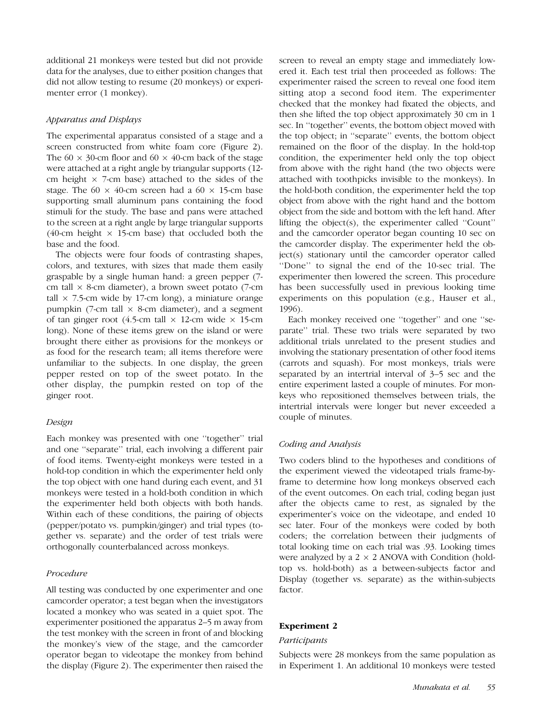additional 21 monkeys were tested but did not provide data for the analyses, due to either position changes that did not allow testing to resume (20 monkeys) or experimenter error (1 monkey).

#### Apparatus and Displays

The experimental apparatus consisted of a stage and a screen constructed from white foam core (Figure 2). The 60  $\times$  30-cm floor and 60  $\times$  40-cm back of the stage were attached at a right angle by triangular supports (12cm height  $\times$  7-cm base) attached to the sides of the stage. The 60  $\times$  40-cm screen had a 60  $\times$  15-cm base supporting small aluminum pans containing the food stimuli for the study. The base and pans were attached to the screen at a right angle by large triangular supports (40-cm height  $\times$  15-cm base) that occluded both the base and the food.

The objects were four foods of contrasting shapes, colors, and textures, with sizes that made them easily graspable by a single human hand: a green pepper (7cm tall  $\times$  8-cm diameter), a brown sweet potato (7-cm tall  $\times$  7.5-cm wide by 17-cm long), a miniature orange pumpkin (7-cm tall  $\times$  8-cm diameter), and a segment of tan ginger root (4.5-cm tall  $\times$  12-cm wide  $\times$  15-cm long). None of these items grew on the island or were brought there either as provisions for the monkeys or as food for the research team; all items therefore were unfamiliar to the subjects. In one display, the green pepper rested on top of the sweet potato. In the other display, the pumpkin rested on top of the ginger root.

# Design

Each monkey was presented with one "together" trial and one "separate" trial, each involving a different pair of food items. Twenty-eight monkeys were tested in a hold-top condition in which the experimenter held only the top object with one hand during each event, and 31 monkeys were tested in a hold-both condition in which the experimenter held both objects with both hands. Within each of these conditions, the pairing of objects (pepper/potato vs. pumpkin/ginger) and trial types (together vs. separate) and the order of test trials were orthogonally counterbalanced across monkeys.

#### Procedure

All testing was conducted by one experimenter and one camcorder operator; a test began when the investigators located a monkey who was seated in a quiet spot. The experimenter positioned the apparatus 2–5 m away from the test monkey with the screen in front of and blocking the monkey's view of the stage, and the camcorder operator began to videotape the monkey from behind the display (Figure 2). The experimenter then raised the

screen to reveal an empty stage and immediately lowered it. Each test trial then proceeded as follows: The experimenter raised the screen to reveal one food item sitting atop a second food item. The experimenter checked that the monkey had fixated the objects, and then she lifted the top object approximately 30 cm in 1 sec. In "together" events, the bottom object moved with the top object; in "separate" events, the bottom object remained on the floor of the display. In the hold-top condition, the experimenter held only the top object from above with the right hand (the two objects were attached with toothpicks invisible to the monkeys). In the hold-both condition, the experimenter held the top object from above with the right hand and the bottom object from the side and bottom with the left hand. After lifting the object(s), the experimenter called "Count" and the camcorder operator began counting 10 sec on the camcorder display. The experimenter held the object(s) stationary until the camcorder operator called "Done" to signal the end of the 10-sec trial. The experimenter then lowered the screen. This procedure has been successfully used in previous looking time experiments on this population (e.g., Hauser et al., 1996).

Each monkey received one "together" and one "separate" trial. These two trials were separated by two additional trials unrelated to the present studies and involving the stationary presentation of other food items (carrots and squash). For most monkeys, trials were separated by an intertrial interval of 3–5 sec and the entire experiment lasted a couple of minutes. For monkeys who repositioned themselves between trials, the intertrial intervals were longer but never exceeded a couple of minutes.

# Coding and Analysis

Two coders blind to the hypotheses and conditions of the experiment viewed the videotaped trials frame-byframe to determine how long monkeys observed each of the event outcomes. On each trial, coding began just after the objects came to rest, as signaled by the experimenter's voice on the videotape, and ended 10 sec later. Four of the monkeys were coded by both coders; the correlation between their judgments of total looking time on each trial was .93. Looking times were analyzed by a  $2 \times 2$  ANOVA with Condition (holdtop vs. hold-both) as a between-subjects factor and Display (together vs. separate) as the within-subjects factor.

#### **Experiment 2**

#### Participants

Subjects were 28 monkeys from the same population as in Experiment 1. An additional 10 monkeys were tested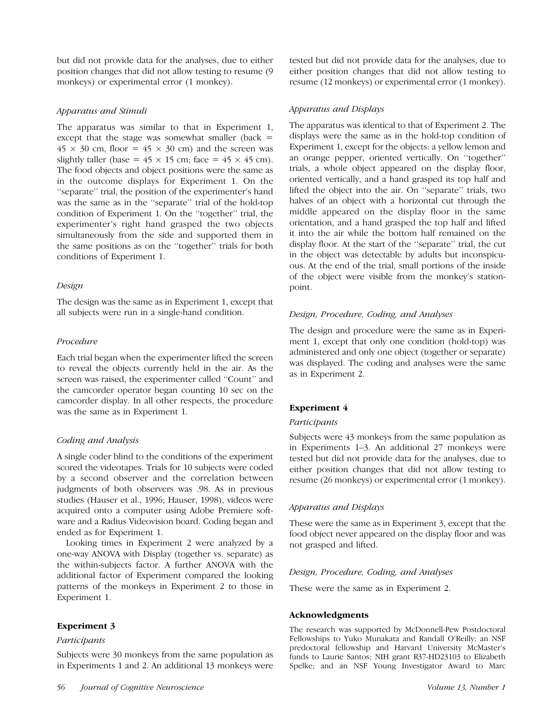but did not provide data for the analyses, due to either position changes that did not allow testing to resume (9) monkeys) or experimental error (1 monkey).

#### Apparatus and Stimuli

The apparatus was similar to that in Experiment 1, except that the stage was somewhat smaller (back  $=$  $45 \times 30$  cm, floor =  $45 \times 30$  cm) and the screen was slightly taller (base =  $45 \times 15$  cm; face =  $45 \times 45$  cm). The food objects and object positions were the same as in the outcome displays for Experiment 1. On the "separate" trial, the position of the experimenter's hand was the same as in the "separate" trial of the hold-top condition of Experiment 1. On the "together" trial, the experimenter's right hand grasped the two objects simultaneously from the side and supported them in the same positions as on the "together" trials for both conditions of Experiment 1.

#### Design

The design was the same as in Experiment 1, except that all subjects were run in a single-hand condition.

#### Procedure

Each trial began when the experimenter lifted the screen to reveal the objects currently held in the air. As the screen was raised, the experimenter called "Count" and the camcorder operator began counting 10 sec on the camcorder display. In all other respects, the procedure was the same as in Experiment 1.

# Coding and Analysis

A single coder blind to the conditions of the experiment scored the videotapes. Trials for 10 subjects were coded by a second observer and the correlation between judgments of both observers was .98. As in previous studies (Hauser et al., 1996; Hauser, 1998), videos were acquired onto a computer using Adobe Premiere software and a Radius Videovision board. Coding began and ended as for Experiment 1.

Looking times in Experiment 2 were analyzed by a one-way ANOVA with Display (together vs. separate) as the within-subjects factor. A further ANOVA with the additional factor of Experiment compared the looking patterns of the monkeys in Experiment 2 to those in Experiment 1.

# **Experiment 3**

#### Participants

Subjects were 30 monkeys from the same population as in Experiments 1 and 2. An additional 13 monkeys were tested but did not provide data for the analyses, due to either position changes that did not allow testing to resume (12 monkeys) or experimental error (1 monkey).

# Apparatus and Displays

The apparatus was identical to that of Experiment 2. The displays were the same as in the hold-top condition of Experiment 1, except for the objects: a yellow lemon and an orange pepper, oriented vertically. On "together" trials, a whole object appeared on the display floor, oriented vertically, and a hand grasped its top half and lifted the object into the air. On "separate" trials, two halves of an object with a horizontal cut through the middle appeared on the display floor in the same orientation, and a hand grasped the top half and lifted it into the air while the bottom half remained on the display floor. At the start of the "separate" trial, the cut in the object was detectable by adults but inconspicuous. At the end of the trial, small portions of the inside of the object were visible from the monkey's stationpoint.

# Design, Procedure, Coding, and Analyses

The design and procedure were the same as in Experiment 1, except that only one condition (hold-top) was administered and only one object (together or separate) was displayed. The coding and analyses were the same as in Experiment 2.

# **Experiment 4**

# Participants

Subjects were 43 monkeys from the same population as in Experiments 1–3. An additional 27 monkeys were tested but did not provide data for the analyses, due to either position changes that did not allow testing to resume (26 monkeys) or experimental error (1 monkey).

# Apparatus and Displays

These were the same as in Experiment 3, except that the food object never appeared on the display floor and was not grasped and lifted.

# Design, Procedure, Coding, and Analyses

These were the same as in Experiment 2.

#### **Acknowledgments**

The research was supported by McDonnell-Pew Postdoctoral Fellowships to Yuko Munakata and Randall O'Reilly; an NSF predoctoral fellowship and Harvard University McMaster's funds to Laurie Santos; NIH grant R37-HD23103 to Elizabeth Spelke; and an NSF Young Investigator Award to Marc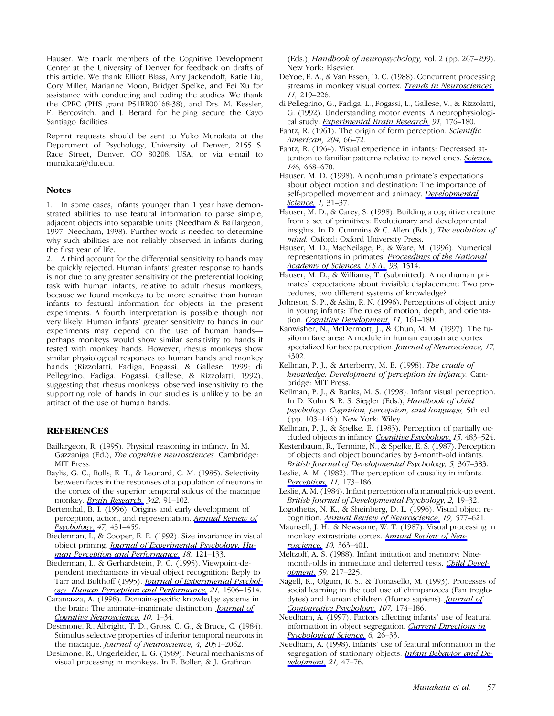Hauser. We thank members of the Cognitive Development Center at the University of Denver for feedback on drafts of this article. We thank Elliott Blass, Amy Jackendoff, Katie Liu, Cory Miller, Marianne Moon, Bridget Spelke, and Fei Xu for assistance with conducting and coding the studies. We thank the CPRC (PHS grant P51RR00168-38), and Drs. M. Kessler, F. Bercovitch, and J. Berard for helping secure the Cayo Santiago facilities.

Reprint requests should be sent to Yuko Munakata at the Department of Psychology, University of Denver, 2155 S. Race Street, Denver, CO 80208, USA, or via e-mail to munakata@du.edu.

#### **Notes**

1. In some cases, infants younger than 1 year have demonstrated abilities to use featural information to parse simple, adjacent objects into separable units (Needham & Baillargeon, 1997; Needham, 1998). Further work is needed to determine why such abilities are not reliably observed in infants during the first year of life.

2. A third account for the differential sensitivity to hands may be quickly rejected. Human infants' greater response to hands is not due to any greater sensitivity of the preferential looking task with human infants, relative to adult rhesus monkeys, because we found monkeys to be more sensitive than human infants to featural information for objects in the present experiments. A fourth interpretation is possible though not very likely. Human infants' greater sensitivity to hands in our experiments may depend on the use of human hands perhaps monkeys would show similar sensitivity to hands if tested with monkey hands. However, rhesus monkeys show similar physiological responses to human hands and monkey hands (Rizzolatti, Fadiga, Fogassi, & Gallese, 1999; di Pellegrino, Fadiga, Fogassi, Gallese, & Rizzolatti, 1992), suggesting that rhesus monkeys' observed insensitivity to the supporting role of hands in our studies is unlikely to be an artifact of the use of human hands.

#### **REFERENCES**

- Baillargeon, R. (1995). Physical reasoning in infancy. In M. Gazzaniga (Ed.), The cognitive neurosciences. Cambridge: MIT Press.
- Baylis, G. C., Rolls, E. T., & Leonard, C. M. (1985). Selectivity between faces in the responses of a population of neurons in the cortex of the superior temporal sulcus of the macaque monkey. **Brain Research**, 342, 91-102.
- Bertenthal, B. I. (1996). Origins and early development of perception, action, and representation. **Annual Review of** Psychology, 47, 431-459.
- Biederman, I., & Cooper, E. E. (1992). Size invariance in visual object priming. Journal of Experimental Psychology: Human Perception and Performance, 18, 121-133.
- Biederman, I., & Gerhardstein, P. C. (1995). Viewpoint-dependent mechanisms in visual object recognition: Reply to Tarr and Bulthoff (1995). *Journal of Experimental Psychol*ogy: Human Perception and Performance, 21, 1506-1514.
- Caramazza, A. (1998). Domain-specific knowledge systems in the brain: The animate-inanimate distinction. *Journal of* Cognitive Neuroscience, 10, 1-34.
- Desimone, R., Albright, T. D., Gross, C. G., & Bruce, C. (1984). Stimulus selective properties of inferior temporal neurons in the macaque. Journal of Neuroscience, 4, 2051-2062.
- Desimone, R., Ungerleider, L. G. (1989). Neural mechanisms of visual processing in monkeys. In F. Boller, & J. Grafman

(Eds.), Handbook of neuropsychology, vol. 2 (pp. 267-299). New York: Elsevier.

- DeYoe, E. A., & Van Essen, D. C. (1988). Concurrent processing streams in monkey visual cortex. Trends in Neurosciences. 11, 219-226.
- di Pellegrino, G., Fadiga, L., Fogassi, L., Gallese, V., & Rizzolatti, G. (1992). Understanding motor events: A neurophysiological study. Experimental Brain Research, 91, 176-180.
- Fantz, R. (1961). The origin of form perception. Scientific American, 204, 66-72.
- Fantz, R. (1964). Visual experience in infants: Decreased attention to familiar patterns relative to novel ones. Science, 146 668-670
- Hauser, M. D. (1998). A nonhuman primate's expectations about object motion and destination: The importance of self-propelled movement and animacy. Developmental Science, 1, 31-37.
- Hauser, M. D., & Carey, S. (1998). Building a cognitive creature from a set of primitives: Evolutionary and developmental insights. In D. Cummins & C. Allen (Eds.), The evolution of mind. Oxford: Oxford University Press.
- Hauser, M. D., MacNeilage, P., & Ware, M. (1996). Numerical representations in primates. Proceedings of the National Academy of Sciences, U.S.A., 93, 1514.
- Hauser, M. D., & Williams, T. (submitted). A nonhuman primates' expectations about invisible displacement: Two procedures, two different systems of knowledge?
- Johnson, S. P., & Aslin, R. N. (1996). Perceptions of object unity in young infants: The rules of motion, depth, and orientation. Cognitive Development, 11, 161-180.
- Kanwisher, N., McDermott, J., & Chun, M. M. (1997). The fusiform face area: A module in human extrastriate cortex specialized for face perception. Journal of Neuroscience, 17, 4302.
- Kellman, P. J., & Arterberry, M. E. (1998). The cradle of knowledge: Development of perception in infancy. Cambridge: MIT Press.
- Kellman, P. J., & Banks, M. S. (1998). Infant visual perception. In D. Kuhn & R. S. Siegler (Eds.), Handbook of child psychology: Cognition, perception, and language, 5th ed (pp. 103–146). New York: Wiley.
- Kellman, P. J., & Spelke, E. (1983). Perception of partially occluded objects in infancy. Cognitive Psychology, 15, 483-524.
- Kestenbaum, R., Termine, N., & Spelke, E. S. (1987). Perception of objects and object boundaries by 3-month-old infants. British Journal of Developmental Psychology, 5, 367-383.
- Leslie, A. M. (1982). The perception of causality in infants. Perception, 11, 173-186.
- Leslie, A. M. (1984). Infant perception of a manual pick-up event. British Journal of Developmental Psychology, 2, 19-32.
- Logothetis, N. K., & Sheinberg, D. L. (1996). Visual object recognition. Annual Review of Neuroscience, 19, 577-621.
- Maunsell, J. H., & Newsome, W. T. (1987). Visual processing in monkey extrastriate cortex. Annual Review of Neuroscience, 10, 363-401.
- Meltzoff, A. S. (1988). Infant imitation and memory: Ninemonth-olds in immediate and deferred tests. Child Development, 59, 217-225.
- Nagell, K., Olguin, R. S., & Tomasello, M. (1993). Processes of social learning in the tool use of chimpanzees (Pan troglodytes) and human children (Homo sapiens). *Journal of* Comparative Psychology, 107, 174-186.
- Needham, A. (1997). Factors affecting infants' use of featural information in object segregation. Current Directions in Psychological Science, 6, 26-33.
- Needham, A. (1998). Infants' use of featural information in the segregation of stationary objects. *Infant Bebavior and De*velopment, 21, 47-76.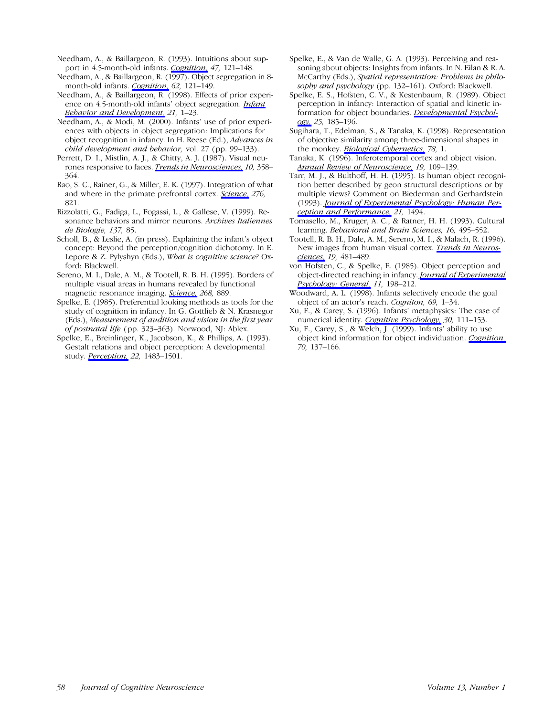Needham, A., & Baillargeon, R. (1993). Intuitions about support in 4.5-month-old infants. Cognition, 47, 121-148.

Needham, A., & Baillargeon, R. (1997). Object segregation in 8month-old infants. Cognition, 62, 121-149.

Needham, A., & Baillargeon, R. (1998). Effects of prior experience on 4.5-month-old infants' object segregation. *Infant* Behavior and Development, 21, 1-23.

Needham, A., & Modi, M. (2000). Infants' use of prior experiences with objects in object segregation. Implications for object recognition in infancy. In H. Reese (Ed.), Advances in child development and behavior, vol. 27 (pp. 99-133).

Perrett, D. I., Mistlin, A. J., & Chitty, A. J. (1987). Visual neurones responsive to faces. *Trends in Neurosciences*, 10, 358-364.

- Rao, S. C., Rainer, G., & Miller, E. K. (1997). Integration of what and where in the primate prefrontal cortex. Science, 276, 821.
- Rizzolatti, G., Fadiga, L., Fogassi, L., & Gallese, V. (1999). Resonance behaviors and mirror neurons. Archives Italiennes de Biologie, 137, 85.
- Scholl, B., & Leslie, A. (in press). Explaining the infant's object concept: Beyond the perception/cognition dichotomy. In E. Lepore & Z. Pylyshyn (Eds.), What is cognitive science? Oxford: Blackwell.

Sereno, M. I., Dale, A. M., & Tootell, R. B. H. (1995). Borders of multiple visual areas in humans revealed by functional magnetic resonance imaging. Science, 268, 889.

Spelke, E. (1985). Preferential looking methods as tools for the study of cognition in infancy. In G. Gottlieb & N. Krasnegor (Eds.), Measurement of audition and vision in the first year of postnatal life (pp. 323-363). Norwood, NJ: Ablex.

Spelke, E., Breinlinger, K., Jacobson, K., & Phillips, A. (1993). Gestalt relations and object perception: A developmental study. *Perception*, 22, 1483-1501.

- Spelke, E., & Van de Walle, G. A. (1993). Perceiving and reasoning about objects: Insights from infants. In N. Eilan & R. A. McCarthy (Eds.), Spatial representation: Problems in philosophy and psychology (pp. 132-161). Oxford: Blackwell.
- Spelke, E. S., Hofsten, C. V., & Kestenbaum, R. (1989). Object perception in infancy: Interaction of spatial and kinetic information for object boundaries. Developmental Psychology, 25, 185-196.
- Sugihara, T., Edelman, S., & Tanaka, K. (1998). Representation of objective similarity among three-dimensional shapes in the monkey. **Biological Cybernetics**, 78, 1.
- Tanaka, K. (1996). Inferotemporal cortex and object vision. <u> Annual Review of Neuroscience,</u> 19, 109–139.
- Tarr, M. J., & Bulthoff, H. H. (1995). Is human object recognition better described by geon structural descriptions or by multiple views? Comment on Biederman and Gerhardstein (1993). Journal of Experimental Psychology: Human Perception and Performance, 21, 1494.
- Tomasello, M., Kruger, A. C., & Ratner, H. H. (1993). Cultural learning. Behavioral and Brain Sciences, 16, 495-552.
- Tootell, R. B. H., Dale, A. M., Sereno, M. I., & Malach, R. (1996). New images from human visual cortex. *Trends in Neuros*ciences, 19, 481-489.
- von Hofsten, C., & Spelke, E. (1985). Object perception and object-directed reaching in infancy. Journal of Experimental Psychology: General, 11, 198-212.
- Woodward, A. L. (1998). Infants selectively encode the goal object of an actor's reach. Cogniton, 69, 1-34.
- Xu, F., & Carey, S. (1996). Infants' metaphysics: The case of numerical identity. Cognitive Psychology, 30, 111-153.
- Xu, F., Carey, S., & Welch, J. (1999). Infants' ability to use object kind information for object individuation. Cognition,  $70, 137 - 166.$